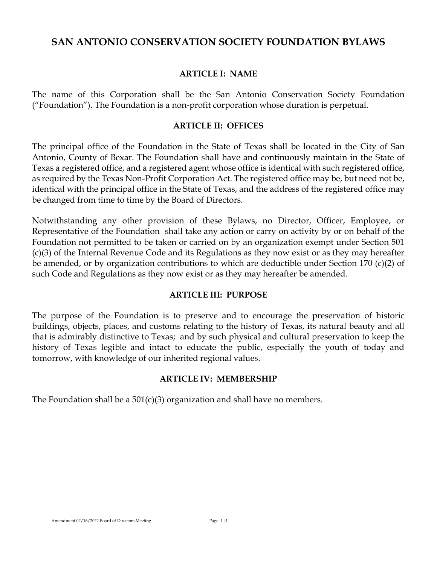# **SAN ANTONIO CONSERVATION SOCIETY FOUNDATION BYLAWS**

### **ARTICLE I: NAME**

The name of this Corporation shall be the San Antonio Conservation Society Foundation ("Foundation"). The Foundation is a non-profit corporation whose duration is perpetual.

### **ARTICLE II: OFFICES**

The principal office of the Foundation in the State of Texas shall be located in the City of San Antonio, County of Bexar. The Foundation shall have and continuously maintain in the State of Texas a registered office, and a registered agent whose office is identical with such registered office, as required by the Texas Non-Profit Corporation Act. The registered office may be, but need not be, identical with the principal office in the State of Texas, and the address of the registered office may be changed from time to time by the Board of Directors.

Notwithstanding any other provision of these Bylaws, no Director, Officer, Employee, or Representative of the Foundation shall take any action or carry on activity by or on behalf of the Foundation not permitted to be taken or carried on by an organization exempt under Section 501 (c)(3) of the Internal Revenue Code and its Regulations as they now exist or as they may hereafter be amended, or by organization contributions to which are deductible under Section 170 (c)(2) of such Code and Regulations as they now exist or as they may hereafter be amended.

### **ARTICLE III: PURPOSE**

The purpose of the Foundation is to preserve and to encourage the preservation of historic buildings, objects, places, and customs relating to the history of Texas, its natural beauty and all that is admirably distinctive to Texas; and by such physical and cultural preservation to keep the history of Texas legible and intact to educate the public, especially the youth of today and tomorrow, with knowledge of our inherited regional values.

### **ARTICLE IV: MEMBERSHIP**

The Foundation shall be a  $501(c)(3)$  organization and shall have no members.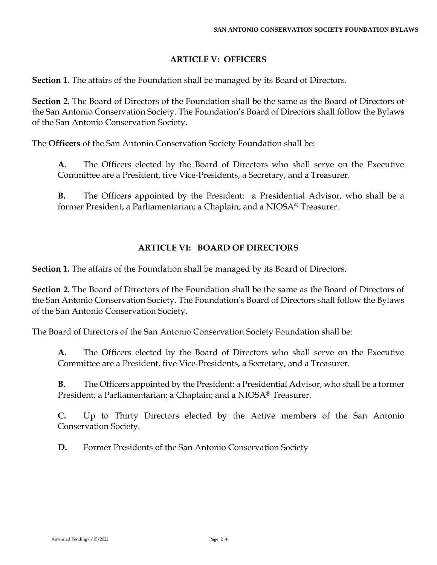### **ARTICLE V: OFFICERS**

**Section 1.** The affairs of the Foundation shall be managed by its Board of Directors.

**Section 2.** The Board of Directors of the Foundation shall be the same as the Board of Directors of the San Antonio Conservation Society. The Foundation's Board of Directors shall follow the Bylaws of the San Antonio Conservation Society.

The **Officers** of the San Antonio Conservation Society Foundation shall be:

**A.** The Officers elected by the Board of Directors who shall serve on the Executive Committee are a President, five Vice-Presidents, a Secretary, and a Treasurer.

**B.** The Officers appointed by the President: a Presidential Advisor, who shall be a former President; a Parliamentarian; a Chaplain; and a NIOSA® Treasurer.

### **ARTICLE VI: BOARD OF DIRECTORS**

**Section 1.** The affairs of the Foundation shall be managed by its Board of Directors.

**Section 2.** The Board of Directors of the Foundation shall be the same as the Board of Directors of the San Antonio Conservation Society. The Foundation's Board of Directors shall follow the Bylaws of the San Antonio Conservation Society.

The Board of Directors of the San Antonio Conservation Society Foundation shall be:

**A.** The Officers elected by the Board of Directors who shall serve on the Executive Committee are a President, five Vice-Presidents, a Secretary, and a Treasurer.

**B.** The Officers appointed by the President: a Presidential Advisor, who shall be a former President; a Parliamentarian; a Chaplain; and a NIOSA® Treasurer.

**C.** Up to Thirty Directors elected by the Active members of the San Antonio Conservation Society.

**D.** Former Presidents of the San Antonio Conservation Society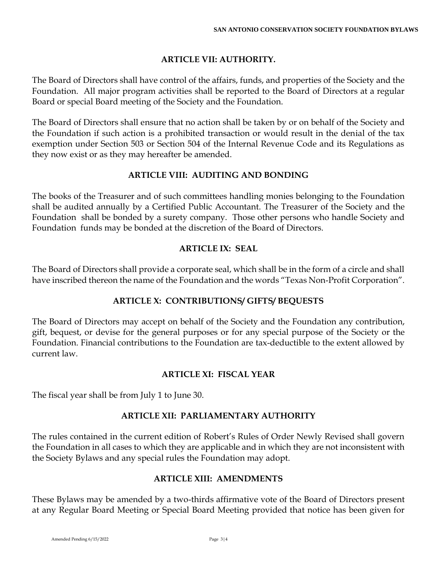## **ARTICLE VII: AUTHORITY.**

The Board of Directors shall have control of the affairs, funds, and properties of the Society and the Foundation. All major program activities shall be reported to the Board of Directors at a regular Board or special Board meeting of the Society and the Foundation.

The Board of Directors shall ensure that no action shall be taken by or on behalf of the Society and the Foundation if such action is a prohibited transaction or would result in the denial of the tax exemption under Section 503 or Section 504 of the Internal Revenue Code and its Regulations as they now exist or as they may hereafter be amended.

### **ARTICLE VIII: AUDITING AND BONDING**

The books of the Treasurer and of such committees handling monies belonging to the Foundation shall be audited annually by a Certified Public Accountant. The Treasurer of the Society and the Foundation shall be bonded by a surety company. Those other persons who handle Society and Foundation funds may be bonded at the discretion of the Board of Directors.

# **ARTICLE IX: SEAL**

The Board of Directors shall provide a corporate seal, which shall be in the form of a circle and shall have inscribed thereon the name of the Foundation and the words "Texas Non-Profit Corporation".

# **ARTICLE X: CONTRIBUTIONS/ GIFTS/ BEQUESTS**

The Board of Directors may accept on behalf of the Society and the Foundation any contribution, gift, bequest, or devise for the general purposes or for any special purpose of the Society or the Foundation. Financial contributions to the Foundation are tax-deductible to the extent allowed by current law.

### **ARTICLE XI: FISCAL YEAR**

The fiscal year shall be from July 1 to June 30.

# **ARTICLE XII: PARLIAMENTARY AUTHORITY**

The rules contained in the current edition of Robert's Rules of Order Newly Revised shall govern the Foundation in all cases to which they are applicable and in which they are not inconsistent with the Society Bylaws and any special rules the Foundation may adopt.

# **ARTICLE XIII: AMENDMENTS**

These Bylaws may be amended by a two-thirds affirmative vote of the Board of Directors present at any Regular Board Meeting or Special Board Meeting provided that notice has been given for